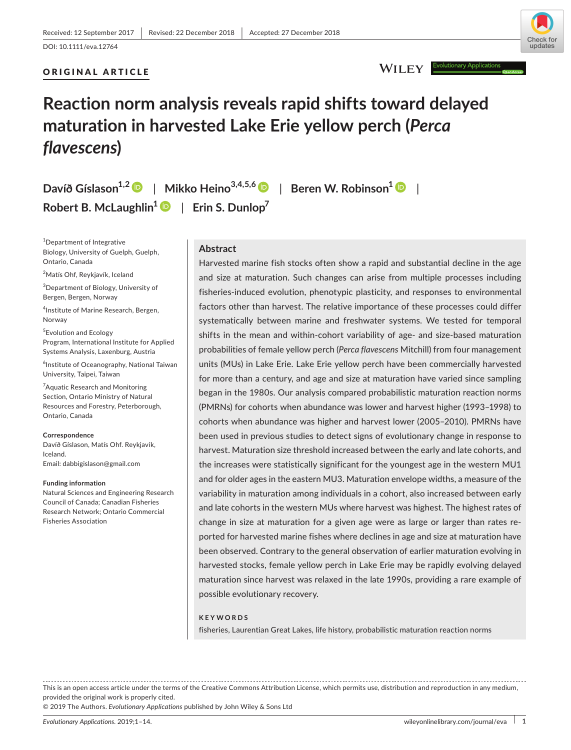# ORIGINAL ARTICLE



# WILEY **F**

# **Reaction norm analysis reveals rapid shifts toward delayed maturation in harvested Lake Erie yellow perch (***Perca flavescens***)**

**Davíð Gíslason1,[2](https://orcid.org/0000-0001-8845-6077)** | **Mikko Heino3,4,5,[6](https://orcid.org/0000-0003-2928-3940)** | **Beren W. Robinson[1](https://orcid.org/0000-0003-2868-5411)** | Robert B. McLaughlin<sup>1</sup>  $\bullet$  | Erin S. Dunlop<sup>7</sup>

1 Department of Integrative Biology, University of Guelph, Guelph, Ontario, Canada

<sup>2</sup>Matís Ohf, Reykjavík, Iceland

3 Department of Biology, University of Bergen, Bergen, Norway

4 Institute of Marine Research, Bergen, Norway

5 Evolution and Ecology Program, International Institute for Applied Systems Analysis, Laxenburg, Austria

 $^6$ Institute of Oceanography, National Taiwan University, Taipei, Taiwan

<sup>7</sup>Aquatic Research and Monitoring Section, Ontario Ministry of Natural Resources and Forestry, Peterborough, Ontario, Canada

#### **Correspondence**

Davíð Gíslason, Matís Ohf. Reykjavík, Iceland. Email: [dabbigislason@gmail.com](mailto:dabbigislason@gmail.com)

#### **Funding information**

Natural Sciences and Engineering Research Council of Canada; Canadian Fisheries Research Network; Ontario Commercial Fisheries Association

# **Abstract**

Harvested marine fish stocks often show a rapid and substantial decline in the age and size at maturation. Such changes can arise from multiple processes including fisheries‐induced evolution, phenotypic plasticity, and responses to environmental factors other than harvest. The relative importance of these processes could differ systematically between marine and freshwater systems. We tested for temporal shifts in the mean and within‐cohort variability of age‐ and size‐based maturation probabilities of female yellow perch (*Perca flavescens* Mitchill) from four management units (MUs) in Lake Erie. Lake Erie yellow perch have been commercially harvested for more than a century, and age and size at maturation have varied since sampling began in the 1980s. Our analysis compared probabilistic maturation reaction norms (PMRNs) for cohorts when abundance was lower and harvest higher (1993–1998) to cohorts when abundance was higher and harvest lower (2005–2010). PMRNs have been used in previous studies to detect signs of evolutionary change in response to harvest. Maturation size threshold increased between the early and late cohorts, and the increases were statistically significant for the youngest age in the western MU1 and for older ages in the eastern MU3. Maturation envelope widths, a measure of the variability in maturation among individuals in a cohort, also increased between early and late cohorts in the western MUs where harvest was highest. The highest rates of change in size at maturation for a given age were as large or larger than rates re‐ ported for harvested marine fishes where declines in age and size at maturation have been observed. Contrary to the general observation of earlier maturation evolving in harvested stocks, female yellow perch in Lake Erie may be rapidly evolving delayed maturation since harvest was relaxed in the late 1990s, providing a rare example of possible evolutionary recovery.

#### **KEYWORDS**

fisheries, Laurentian Great Lakes, life history, probabilistic maturation reaction norms

This is an open access article under the terms of the Creative Commons [Attribution](http://creativecommons.org/licenses/by/4.0/) License, which permits use, distribution and reproduction in any medium, provided the original work is properly cited.

© 2019 The Authors. *Evolutionary Applications* published by John Wiley & Sons Ltd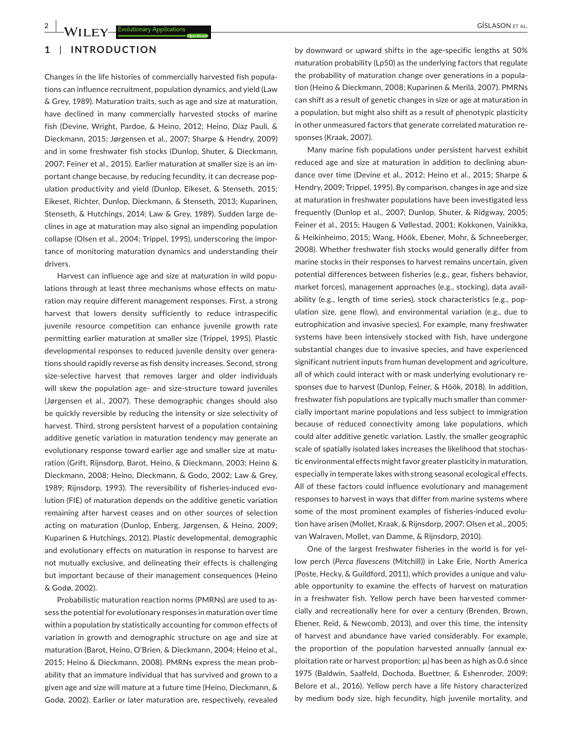# **1** | **INTRODUCTION**

Changes in the life histories of commercially harvested fish popula‐ tions can influence recruitment, population dynamics, and yield (Law & Grey, 1989). Maturation traits, such as age and size at maturation, have declined in many commercially harvested stocks of marine fish (Devine, Wright, Pardoe, & Heino, 2012; Heino, Díaz Pauli, & Dieckmann, 2015; Jørgensen et al., 2007; Sharpe & Hendry, 2009) and in some freshwater fish stocks (Dunlop, Shuter, & Dieckmann, 2007; Feiner et al., 2015). Earlier maturation at smaller size is an im‐ portant change because, by reducing fecundity, it can decrease pop‐ ulation productivity and yield (Dunlop, Eikeset, & Stenseth, 2015; Eikeset, Richter, Dunlop, Dieckmann, & Stenseth, 2013; Kuparinen, Stenseth, & Hutchings, 2014; Law & Grey, 1989). Sudden large de‐ clines in age at maturation may also signal an impending population collapse (Olsen et al., 2004; Trippel, 1995), underscoring the impor‐ tance of monitoring maturation dynamics and understanding their drivers.

Harvest can influence age and size at maturation in wild popu‐ lations through at least three mechanisms whose effects on maturation may require different management responses. First, a strong harvest that lowers density sufficiently to reduce intraspecific juvenile resource competition can enhance juvenile growth rate permitting earlier maturation at smaller size (Trippel, 1995). Plastic developmental responses to reduced juvenile density over genera‐ tions should rapidly reverse as fish density increases. Second, strong size-selective harvest that removes larger and older individuals will skew the population age- and size-structure toward juveniles (Jørgensen et al., 2007). These demographic changes should also be quickly reversible by reducing the intensity or size selectivity of harvest. Third, strong persistent harvest of a population containing additive genetic variation in maturation tendency may generate an evolutionary response toward earlier age and smaller size at matu‐ ration (Grift, Rijnsdorp, Barot, Heino, & Dieckmann, 2003; Heino & Dieckmann, 2008; Heino, Dieckmann, & Godo, 2002; Law & Grey, 1989; Rijnsdorp, 1993). The reversibility of fisheries-induced evolution (FIE) of maturation depends on the additive genetic variation remaining after harvest ceases and on other sources of selection acting on maturation (Dunlop, Enberg, Jørgensen, & Heino, 2009; Kuparinen & Hutchings, 2012). Plastic developmental, demographic and evolutionary effects on maturation in response to harvest are not mutually exclusive, and delineating their effects is challenging but important because of their management consequences (Heino & Godø, 2002).

Probabilistic maturation reaction norms (PMRNs) are used to as‐ sess the potential for evolutionary responses in maturation over time within a population by statistically accounting for common effects of variation in growth and demographic structure on age and size at maturation (Barot, Heino, O'Brien, & Dieckmann, 2004; Heino et al., 2015; Heino & Dieckmann, 2008). PMRNs express the mean prob‐ ability that an immature individual that has survived and grown to a given age and size will mature at a future time (Heino, Dieckmann, & Godø, 2002). Earlier or later maturation are, respectively, revealed

by downward or upward shifts in the age‐specific lengths at 50% maturation probability (Lp50) as the underlying factors that regulate the probability of maturation change over generations in a popula‐ tion (Heino & Dieckmann, 2008; Kuparinen & Merilä, 2007). PMRNs can shift as a result of genetic changes in size or age at maturation in a population, but might also shift as a result of phenotypic plasticity in other unmeasured factors that generate correlated maturation responses (Kraak, 2007).

Many marine fish populations under persistent harvest exhibit reduced age and size at maturation in addition to declining abun‐ dance over time (Devine et al., 2012; Heino et al., 2015; Sharpe & Hendry, 2009; Trippel, 1995). By comparison, changes in age and size at maturation in freshwater populations have been investigated less frequently (Dunlop et al., 2007; Dunlop, Shuter, & Ridgway, 2005; Feiner et al., 2015; Haugen & Vøllestad, 2001; Kokkonen, Vainikka, & Heikinheimo, 2015; Wang, Höök, Ebener, Mohr, & Schneeberger, 2008). Whether freshwater fish stocks would generally differ from marine stocks in their responses to harvest remains uncertain, given potential differences between fisheries (e.g., gear, fishers behavior, market forces), management approaches (e.g., stocking), data avail‐ ability (e.g., length of time series), stock characteristics (e.g., pop‐ ulation size, gene flow), and environmental variation (e.g., due to eutrophication and invasive species). For example, many freshwater systems have been intensively stocked with fish, have undergone substantial changes due to invasive species, and have experienced significant nutrient inputs from human development and agriculture, all of which could interact with or mask underlying evolutionary re‐ sponses due to harvest (Dunlop, Feiner, & Höök, 2018). In addition, freshwater fish populations are typically much smaller than commer‐ cially important marine populations and less subject to immigration because of reduced connectivity among lake populations, which could alter additive genetic variation. Lastly, the smaller geographic scale of spatially isolated lakes increases the likelihood that stochas‐ tic environmental effects might favor greater plasticity in maturation, especially in temperate lakes with strong seasonal ecological effects. All of these factors could influence evolutionary and management responses to harvest in ways that differ from marine systems where some of the most prominent examples of fisheries-induced evolution have arisen (Mollet, Kraak, & Rijnsdorp, 2007; Olsen et al., 2005; van Walraven, Mollet, van Damme, & Rijnsdorp, 2010).

One of the largest freshwater fisheries in the world is for yel‐ low perch (*Perca flavescens* (Mitchill)) in Lake Erie, North America (Poste, Hecky, & Guildford, 2011), which provides a unique and valu‐ able opportunity to examine the effects of harvest on maturation in a freshwater fish. Yellow perch have been harvested commer‐ cially and recreationally here for over a century (Brenden, Brown, Ebener, Reid, & Newcomb, 2013), and over this time, the intensity of harvest and abundance have varied considerably. For example, the proportion of the population harvested annually (annual ex‐ ploitation rate or harvest proportion;  $\mu$ ) has been as high as 0.6 since 1975 (Baldwin, Saalfeld, Dochoda, Buettner, & Eshenroder, 2009; Belore et al., 2016). Yellow perch have a life history characterized by medium body size, high fecundity, high juvenile mortality, and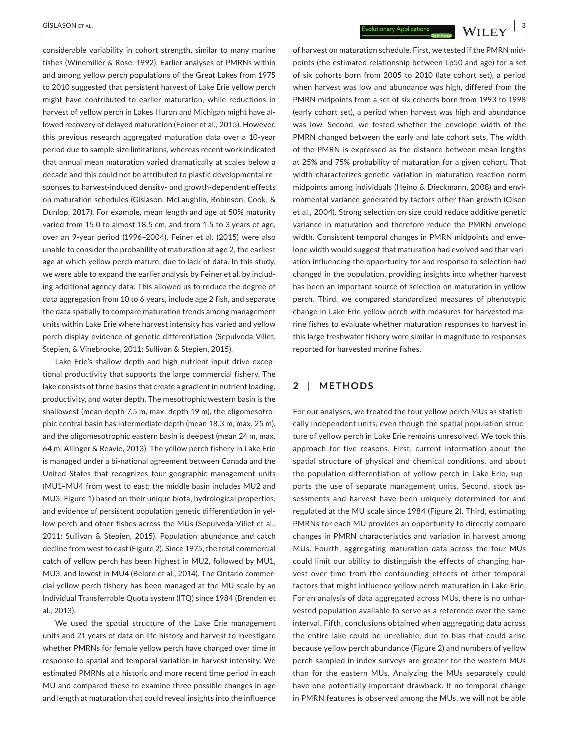considerable variability in cohort strength, similar to many marine fishes (Winemiller & Rose, 1992). Earlier analyses of PMRNs within and among yellow perch populations of the Great Lakes from 1975 to 2010 suggested that persistent harvest of Lake Erie yellow perch might have contributed to earlier maturation, while reductions in harvest of yellow perch in Lakes Huron and Michigan might have al‐ lowed recovery of delayed maturation (Feiner et al., 2015). However, this previous research aggregated maturation data over a 10‐year period due to sample size limitations, whereas recent work indicated that annual mean maturation varied dramatically at scales below a decade and this could not be attributed to plastic developmental re‐ sponses to harvest-induced density- and growth-dependent effects on maturation schedules (Gíslason, McLaughlin, Robinson, Cook, & Dunlop, 2017). For example, mean length and age at 50% maturity varied from 15.0 to almost 18.5 cm, and from 1.5 to 3 years of age, over an 9‐year period (1996–2004). Feiner et al. (2015) were also unable to consider the probability of maturation at age 2, the earliest age at which yellow perch mature, due to lack of data. In this study, we were able to expand the earlier analysis by Feiner et al. by including additional agency data. This allowed us to reduce the degree of data aggregation from 10 to 6 years, include age 2 fish, and separate the data spatially to compare maturation trends among management units within Lake Erie where harvest intensity has varied and yellow perch display evidence of genetic differentiation (Sepulveda‐Villet, Stepien, & Vinebrooke, 2011; Sullivan & Stepien, 2015).

Lake Erie's shallow depth and high nutrient input drive excep‐ tional productivity that supports the large commercial fishery. The lake consists of three basins that create a gradient in nutrient loading, productivity, and water depth. The mesotrophic western basin is the shallowest (mean depth 7.5 m, max. depth 19 m), the oligomesotrophic central basin has intermediate depth (mean 18.3 m, max. 25 m), and the oligomesotrophic eastern basin is deepest (mean 24 m, max. 64 m; Allinger & Reavie, 2013). The yellow perch fishery in Lake Erie is managed under a bi‐national agreement between Canada and the United States that recognizes four geographic management units (MU1–MU4 from west to east; the middle basin includes MU2 and MU3, Figure 1) based on their unique biota, hydrological properties, and evidence of persistent population genetic differentiation in yellow perch and other fishes across the MUs (Sepulveda‐Villet et al., 2011; Sullivan & Stepien, 2015). Population abundance and catch decline from west to east (Figure 2). Since 1975, the total commercial catch of yellow perch has been highest in MU2, followed by MU1, MU3, and lowest in MU4 (Belore et al., 2014). The Ontario commer‐ cial yellow perch fishery has been managed at the MU scale by an Individual Transferrable Quota system (ITQ) since 1984 (Brenden et al., 2013).

We used the spatial structure of the Lake Erie management units and 21 years of data on life history and harvest to investigate whether PMRNs for female yellow perch have changed over time in response to spatial and temporal variation in harvest intensity. We estimated PMRNs at a historic and more recent time period in each MU and compared these to examine three possible changes in age and length at maturation that could reveal insights into the influence

of harvest on maturation schedule. First, we tested if the PMRN mid‐ points (the estimated relationship between Lp50 and age) for a set of six cohorts born from 2005 to 2010 (late cohort set), a period when harvest was low and abundance was high, differed from the PMRN midpoints from a set of six cohorts born from 1993 to 1998 (early cohort set), a period when harvest was high and abundance was low. Second, we tested whether the envelope width of the PMRN changed between the early and late cohort sets. The width of the PMRN is expressed as the distance between mean lengths at 25% and 75% probability of maturation for a given cohort. That width characterizes genetic variation in maturation reaction norm midpoints among individuals (Heino & Dieckmann, 2008) and envi‐ ronmental variance generated by factors other than growth (Olsen et al., 2004). Strong selection on size could reduce additive genetic variance in maturation and therefore reduce the PMRN envelope width. Consistent temporal changes in PMRN midpoints and envelope width would suggest that maturation had evolved and that variation influencing the opportunity for and response to selection had changed in the population, providing insights into whether harvest has been an important source of selection on maturation in yellow perch. Third, we compared standardized measures of phenotypic change in Lake Erie yellow perch with measures for harvested ma‐ rine fishes to evaluate whether maturation responses to harvest in this large freshwater fishery were similar in magnitude to responses reported for harvested marine fishes.

# **2** | **METHODS**

For our analyses, we treated the four yellow perch MUs as statisti‐ cally independent units, even though the spatial population struc‐ ture of yellow perch in Lake Erie remains unresolved. We took this approach for five reasons. First, current information about the spatial structure of physical and chemical conditions, and about the population differentiation of yellow perch in Lake Erie, sup‐ ports the use of separate management units. Second, stock assessments and harvest have been uniquely determined for and regulated at the MU scale since 1984 (Figure 2). Third, estimating PMRNs for each MU provides an opportunity to directly compare changes in PMRN characteristics and variation in harvest among MUs. Fourth, aggregating maturation data across the four MUs could limit our ability to distinguish the effects of changing har‐ vest over time from the confounding effects of other temporal factors that might influence yellow perch maturation in Lake Erie. For an analysis of data aggregated across MUs, there is no unhar‐ vested population available to serve as a reference over the same interval. Fifth, conclusions obtained when aggregating data across the entire lake could be unreliable, due to bias that could arise because yellow perch abundance (Figure 2) and numbers of yellow perch sampled in index surveys are greater for the western MUs than for the eastern MUs. Analyzing the MUs separately could have one potentially important drawback. If no temporal change in PMRN features is observed among the MUs, we will not be able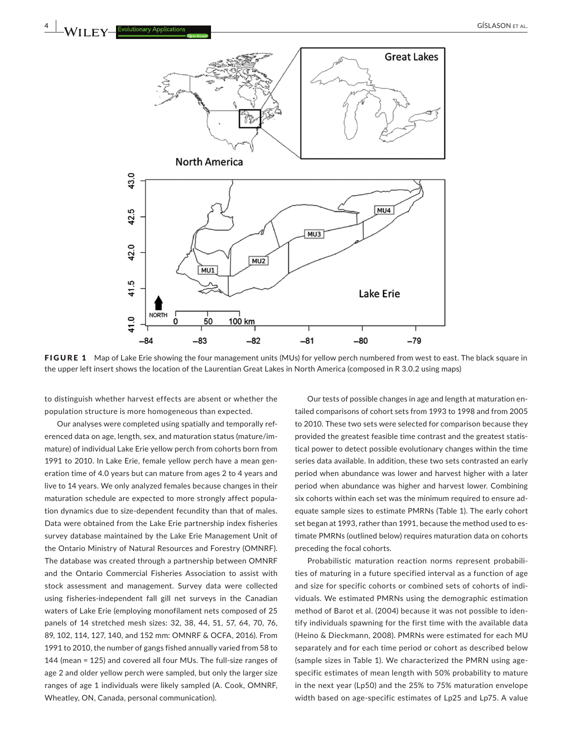

FIGURE 1 Map of Lake Erie showing the four management units (MUs) for yellow perch numbered from west to east. The black square in the upper left insert shows the location of the Laurentian Great Lakes in North America (composed in R 3.0.2 using maps)

to distinguish whether harvest effects are absent or whether the population structure is more homogeneous than expected.

Our analyses were completed using spatially and temporally ref‐ erenced data on age, length, sex, and maturation status (mature/im‐ mature) of individual Lake Erie yellow perch from cohorts born from 1991 to 2010. In Lake Erie, female yellow perch have a mean gen‐ eration time of 4.0 years but can mature from ages 2 to 4 years and live to 14 years. We only analyzed females because changes in their maturation schedule are expected to more strongly affect popula‐ tion dynamics due to size‐dependent fecundity than that of males. Data were obtained from the Lake Erie partnership index fisheries survey database maintained by the Lake Erie Management Unit of the Ontario Ministry of Natural Resources and Forestry (OMNRF). The database was created through a partnership between OMNRF and the Ontario Commercial Fisheries Association to assist with stock assessment and management. Survey data were collected using fisheries‐independent fall gill net surveys in the Canadian waters of Lake Erie (employing monofilament nets composed of 25 panels of 14 stretched mesh sizes: 32, 38, 44, 51, 57, 64, 70, 76, 89, 102, 114, 127, 140, and 152 mm: OMNRF & OCFA, 2016). From 1991 to 2010, the number of gangs fished annually varied from 58 to 144 (mean = 125) and covered all four MUs. The full‐size ranges of age 2 and older yellow perch were sampled, but only the larger size ranges of age 1 individuals were likely sampled (A. Cook, OMNRF, Wheatley, ON, Canada, personal communication).

Our tests of possible changes in age and length at maturation en‐ tailed comparisons of cohort sets from 1993 to 1998 and from 2005 to 2010. These two sets were selected for comparison because they provided the greatest feasible time contrast and the greatest statis‐ tical power to detect possible evolutionary changes within the time series data available. In addition, these two sets contrasted an early period when abundance was lower and harvest higher with a later period when abundance was higher and harvest lower. Combining six cohorts within each set was the minimum required to ensure ad‐ equate sample sizes to estimate PMRNs (Table 1). The early cohort set began at 1993, rather than 1991, because the method used to es‐ timate PMRNs (outlined below) requires maturation data on cohorts preceding the focal cohorts.

Probabilistic maturation reaction norms represent probabili‐ ties of maturing in a future specified interval as a function of age and size for specific cohorts or combined sets of cohorts of indi‐ viduals. We estimated PMRNs using the demographic estimation method of Barot et al. (2004) because it was not possible to iden‐ tify individuals spawning for the first time with the available data (Heino & Dieckmann, 2008). PMRNs were estimated for each MU separately and for each time period or cohort as described below (sample sizes in Table 1). We characterized the PMRN using age‐ specific estimates of mean length with 50% probability to mature in the next year (Lp50) and the 25% to 75% maturation envelope width based on age‐specific estimates of Lp25 and Lp75. A value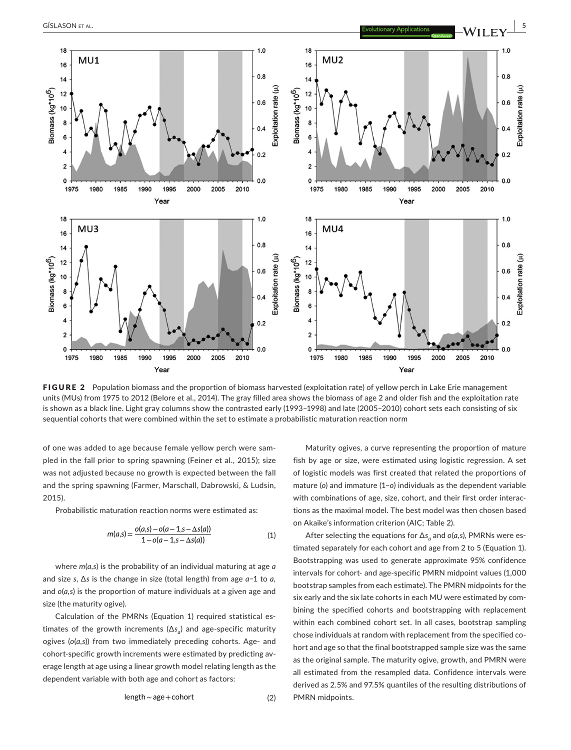

FIGURE 2 Population biomass and the proportion of biomass harvested (exploitation rate) of yellow perch in Lake Erie management units (MUs) from 1975 to 2012 (Belore et al., 2014). The gray filled area shows the biomass of age 2 and older fish and the exploitation rate is shown as a black line. Light gray columns show the contrasted early (1993–1998) and late (2005–2010) cohort sets each consisting of six sequential cohorts that were combined within the set to estimate a probabilistic maturation reaction norm

of one was added to age because female yellow perch were sam‐ pled in the fall prior to spring spawning (Feiner et al., 2015); size was not adjusted because no growth is expected between the fall and the spring spawning (Farmer, Marschall, Dabrowski, & Ludsin, 2015).

Probabilistic maturation reaction norms were estimated as:

$$
m(a,s) = \frac{o(a,s) - o(a-1,s - \Delta s(a))}{1 - o(a-1,s - \Delta s(a))}
$$
\n(1)

where *m*(*a*,*s*) is the probability of an individual maturing at age *a* and size *s*, ∆*s* is the change in size (total length) from age *a*−1 to *a,* and *o*(*a,s*) is the proportion of mature individuals at a given age and size (the maturity ogive).

Calculation of the PMRNs (Equation 1) required statistical es‐ timates of the growth increments ( $\Delta s$ <sub>a</sub>) and age-specific maturity ogives ( $o(a,s)$ ) from two immediately preceding cohorts. Age- and cohort-specific growth increments were estimated by predicting average length at age using a linear growth model relating length as the dependent variable with both age and cohort as factors:

$$
length \sim age + cohort \tag{2}
$$

Maturity ogives, a curve representing the proportion of mature fish by age or size, were estimated using logistic regression. A set of logistic models was first created that related the proportions of mature (*o*) and immature (1−*o*) individuals as the dependent variable with combinations of age, size, cohort, and their first order interactions as the maximal model. The best model was then chosen based on Akaike's information criterion (AIC; Table 2).

After selecting the equations for  $\Delta s$ <sub>a</sub> and *o*(*a*,*s*), PMRNs were estimated separately for each cohort and age from 2 to 5 (Equation 1). Bootstrapping was used to generate approximate 95% confidence intervals for cohort- and age-specific PMRN midpoint values (1,000 bootstrap samples from each estimate). The PMRN midpoints for the six early and the six late cohorts in each MU were estimated by combining the specified cohorts and bootstrapping with replacement within each combined cohort set. In all cases, bootstrap sampling chose individuals at random with replacement from the specified cohort and age so that the final bootstrapped sample size was the same as the original sample. The maturity ogive, growth, and PMRN were all estimated from the resampled data. Confidence intervals were derived as 2.5% and 97.5% quantiles of the resulting distributions of PMRN midpoints.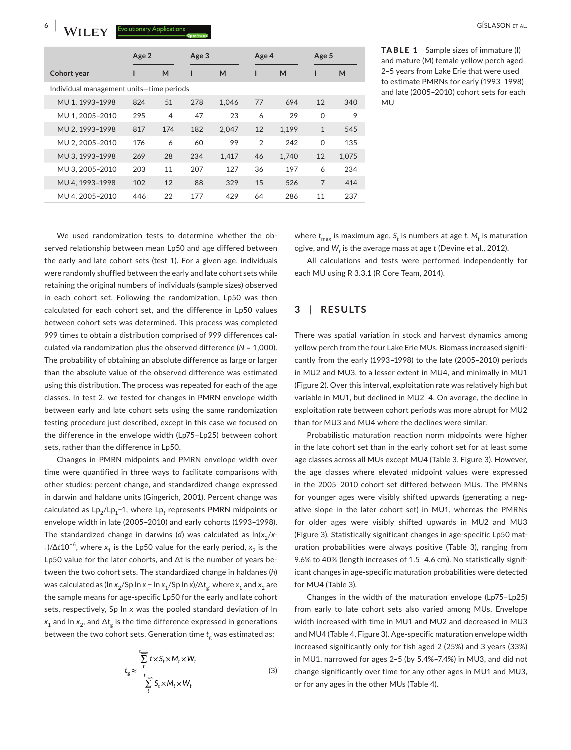|                                          | Age 2 | Age 3          |     | Age 4 |               | Age 5 |                |       |
|------------------------------------------|-------|----------------|-----|-------|---------------|-------|----------------|-------|
| <b>Cohort year</b>                       | ı     | M              | ı   | M     |               | M     |                | M     |
| Individual management units-time periods |       |                |     |       |               |       |                |       |
| MU 1, 1993-1998                          | 824   | 51             | 278 | 1.046 | 77            | 694   | 12             | 340   |
| MU 1, 2005-2010                          | 295   | $\overline{4}$ | 47  | 23    | 6             | 29    | $\Omega$       | 9     |
| MU 2.1993-1998                           | 817   | 174            | 182 | 2.047 | 12            | 1.199 | $\mathbf{1}$   | 545   |
| MU 2, 2005-2010                          | 176   | 6              | 60  | 99    | $\mathcal{P}$ | 242   | $\Omega$       | 135   |
| MU 3, 1993-1998                          | 269   | 28             | 234 | 1,417 | 46            | 1,740 | 12             | 1,075 |
| MU 3, 2005-2010                          | 203   | 11             | 207 | 127   | 36            | 197   | 6              | 234   |
| MU 4, 1993-1998                          | 102   | 12             | 88  | 329   | 15            | 526   | $\overline{7}$ | 414   |
| MU 4.2005-2010                           | 446   | 22             | 177 | 429   | 64            | 286   | 11             | 237   |

TABLE 1 Sample sizes of immature (I) and mature (M) female yellow perch aged 2–5 years from Lake Erie that were used to estimate PMRNs for early (1993–1998) and late (2005–2010) cohort sets for each MU

We used randomization tests to determine whether the observed relationship between mean Lp50 and age differed between the early and late cohort sets (test 1). For a given age, individuals were randomly shuffled between the early and late cohort sets while retaining the original numbers of individuals (sample sizes) observed in each cohort set. Following the randomization, Lp50 was then calculated for each cohort set, and the difference in Lp50 values between cohort sets was determined. This process was completed 999 times to obtain a distribution comprised of 999 differences calculated via randomization plus the observed difference (*N* = 1,000). The probability of obtaining an absolute difference as large or larger than the absolute value of the observed difference was estimated using this distribution. The process was repeated for each of the age classes. In test 2, we tested for changes in PMRN envelope width between early and late cohort sets using the same randomization testing procedure just described, except in this case we focused on the difference in the envelope width (Lp75−Lp25) between cohort sets, rather than the difference in Lp50.

Changes in PMRN midpoints and PMRN envelope width over time were quantified in three ways to facilitate comparisons with other studies: percent change, and standardized change expressed in darwin and haldane units (Gingerich, 2001). Percent change was calculated as Lp<sub>2</sub>/Lp<sub>1</sub>−1, where Lp<sub>t</sub> represents PMRN midpoints or envelope width in late (2005–2010) and early cohorts (1993–1998). The standardized change in darwins (d) was calculated as  $ln(x_2/x$ -<sub>1</sub>)/ $\Delta t$ 10<sup>-6</sup>, where  $x_1$  is the Lp50 value for the early period,  $x_2$  is the Lp50 value for the later cohorts, and ∆t is the number of years be‐ tween the two cohort sets. The standardized change in haldanes (*h*) was calculated as (ln  $x_2$ /Sp ln  $x$  − ln  $x_1$ /Sp ln  $x$ )/ $\Delta t_g$ , where  $x_1$  and  $x_2$  are the sample means for age‐specific Lp50 for the early and late cohort sets, respectively, Sp ln *x* was the pooled standard deviation of ln *x*<sub>1</sub> and ln *x*<sub>2</sub>, and Δ*t*<sub>c</sub> is the time difference expressed in generations between the two cohort sets. Generation time  $t_{g}$  was estimated as:

$$
t_{g} \approx \frac{\sum_{t_{\text{max}}}}{t} t \times S_{t} \times M_{t} \times W_{t}}{\sum_{t}^{t_{\text{max}}} S_{t} \times M_{t} \times W_{t}}
$$
(3)

where  $t_{\text{max}}$  is maximum age,  $S_t$  is numbers at age *t*,  $M_t$  is maturation ogive, and  $W_t$  is the average mass at age *t* (Devine et al., 2012).

All calculations and tests were performed independently for each MU using R 3.3.1 (R Core Team, 2014).

### **3** | **RESULTS**

There was spatial variation in stock and harvest dynamics among yellow perch from the four Lake Erie MUs. Biomass increased signifi‐ cantly from the early (1993–1998) to the late (2005–2010) periods in MU2 and MU3, to a lesser extent in MU4, and minimally in MU1 (Figure 2). Over this interval, exploitation rate was relatively high but variable in MU1, but declined in MU2–4. On average, the decline in exploitation rate between cohort periods was more abrupt for MU2 than for MU3 and MU4 where the declines were similar.

Probabilistic maturation reaction norm midpoints were higher in the late cohort set than in the early cohort set for at least some age classes across all MUs except MU4 (Table 3, Figure 3). However, the age classes where elevated midpoint values were expressed in the 2005–2010 cohort set differed between MUs. The PMRNs for younger ages were visibly shifted upwards (generating a negative slope in the later cohort set) in MU1, whereas the PMRNs for older ages were visibly shifted upwards in MU2 and MU3 (Figure 3). Statistically significant changes in age‐specific Lp50 mat‐ uration probabilities were always positive (Table 3), ranging from 9.6% to 40% (length increases of 1.5–4.6 cm). No statistically signif‐ icant changes in age‐specific maturation probabilities were detected for MU4 (Table 3).

Changes in the width of the maturation envelope (Lp75−Lp25) from early to late cohort sets also varied among MUs. Envelope width increased with time in MU1 and MU2 and decreased in MU3 and MU4 (Table 4, Figure 3). Age‐specific maturation envelope width increased significantly only for fish aged 2 (25%) and 3 years (33%) in MU1, narrowed for ages 2–5 (by 5.4%–7.4%) in MU3, and did not change significantly over time for any other ages in MU1 and MU3, or for any ages in the other MUs (Table 4).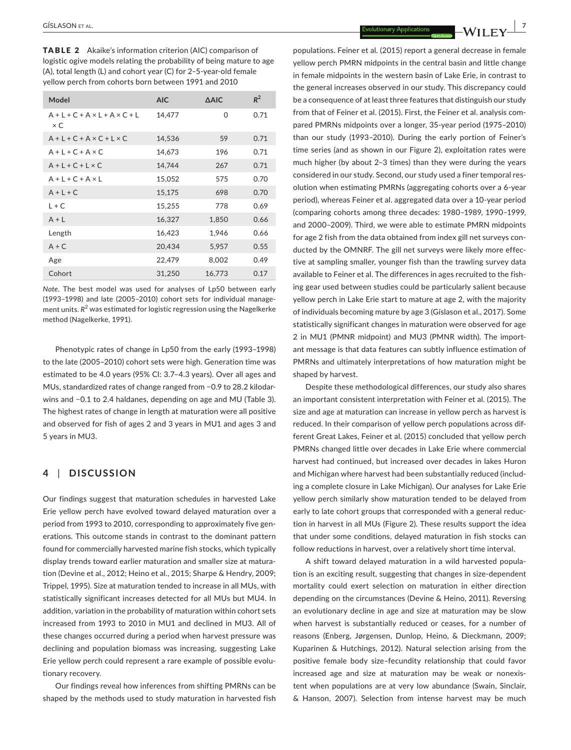TABLE 2 Akaike's information criterion (AIC) comparison of logistic ogive models relating the probability of being mature to age (A), total length (L) and cohort year (C) for 2–5‐year‐old female yellow perch from cohorts born between 1991 and 2010

| Model                                                   | <b>AIC</b> | <b>AAIC</b> | $R^2$ |
|---------------------------------------------------------|------------|-------------|-------|
| $A + I + C + A \times I + A \times C + I$<br>$\times C$ | 14,477     | $\Omega$    | 0.71  |
| $A + L + C + A \times C + L \times C$                   | 14,536     | 59          | 0.71  |
| $A + I + C + A \times C$                                | 14,673     | 196         | 0.71  |
| $A + I + C + I \times C$                                | 14,744     | 267         | 0.71  |
| $A + I + C + A \times I$                                | 15,052     | 575         | 0.70  |
| $A + I + C$                                             | 15,175     | 698         | 0.70  |
| $1 + C$                                                 | 15,255     | 778         | 0.69  |
| $A + I$                                                 | 16,327     | 1,850       | 0.66  |
| Length                                                  | 16,423     | 1,946       | 0.66  |
| $A + C$                                                 | 20,434     | 5,957       | 0.55  |
| Age                                                     | 22,479     | 8,002       | 0.49  |
| Cohort                                                  | 31,250     | 16.773      | 0.17  |

*Note*. The best model was used for analyses of Lp50 between early (1993–1998) and late (2005–2010) cohort sets for individual manage‐ ment units.  $R^2$  was estimated for logistic regression using the Nagelkerke method (Nagelkerke, 1991).

Phenotypic rates of change in Lp50 from the early (1993–1998) to the late (2005–2010) cohort sets were high. Generation time was estimated to be 4.0 years (95% CI: 3.7–4.3 years). Over all ages and MUs, standardized rates of change ranged from −0.9 to 28.2 kilodar‐ wins and −0.1 to 2.4 haldanes, depending on age and MU (Table 3). The highest rates of change in length at maturation were all positive and observed for fish of ages 2 and 3 years in MU1 and ages 3 and 5 years in MU3.

## **4** | **DISCUSSION**

Our findings suggest that maturation schedules in harvested Lake Erie yellow perch have evolved toward delayed maturation over a period from 1993 to 2010, corresponding to approximately five gen‐ erations. This outcome stands in contrast to the dominant pattern found for commercially harvested marine fish stocks, which typically display trends toward earlier maturation and smaller size at matura‐ tion (Devine et al., 2012; Heino et al., 2015; Sharpe & Hendry, 2009; Trippel, 1995). Size at maturation tended to increase in all MUs, with statistically significant increases detected for all MUs but MU4. In addition, variation in the probability of maturation within cohort sets increased from 1993 to 2010 in MU1 and declined in MU3. All of these changes occurred during a period when harvest pressure was declining and population biomass was increasing, suggesting Lake Erie yellow perch could represent a rare example of possible evolu‐ tionary recovery.

Our findings reveal how inferences from shifting PMRNs can be shaped by the methods used to study maturation in harvested fish

populations. Feiner et al. (2015) report a general decrease in female yellow perch PMRN midpoints in the central basin and little change in female midpoints in the western basin of Lake Erie, in contrast to the general increases observed in our study. This discrepancy could be a consequence of at least three features that distinguish our study from that of Feiner et al. (2015). First, the Feiner et al. analysis compared PMRNs midpoints over a longer, 35‐year period (1975–2010) than our study (1993–2010). During the early portion of Feiner's time series (and as shown in our Figure 2), exploitation rates were much higher (by about 2–3 times) than they were during the years considered in our study. Second, our study used a finer temporal res‐ olution when estimating PMRNs (aggregating cohorts over a 6‐year period), whereas Feiner et al. aggregated data over a 10‐year period (comparing cohorts among three decades: 1980–1989, 1990–1999, and 2000–2009). Third, we were able to estimate PMRN midpoints for age 2 fish from the data obtained from index gill net surveys conducted by the OMNRF. The gill net surveys were likely more effec‐ tive at sampling smaller, younger fish than the trawling survey data available to Feiner et al. The differences in ages recruited to the fish‐ ing gear used between studies could be particularly salient because yellow perch in Lake Erie start to mature at age 2, with the majority of individuals becoming mature by age 3 (Gíslason et al., 2017). Some statistically significant changes in maturation were observed for age 2 in MU1 (PMNR midpoint) and MU3 (PMNR width). The import‐ ant message is that data features can subtly influence estimation of PMRNs and ultimately interpretations of how maturation might be shaped by harvest.

Despite these methodological differences, our study also shares an important consistent interpretation with Feiner et al. (2015). The size and age at maturation can increase in yellow perch as harvest is reduced. In their comparison of yellow perch populations across dif‐ ferent Great Lakes, Feiner et al. (2015) concluded that yellow perch PMRNs changed little over decades in Lake Erie where commercial harvest had continued, but increased over decades in lakes Huron and Michigan where harvest had been substantially reduced (includ‐ ing a complete closure in Lake Michigan). Our analyses for Lake Erie yellow perch similarly show maturation tended to be delayed from early to late cohort groups that corresponded with a general reduc‐ tion in harvest in all MUs (Figure 2). These results support the idea that under some conditions, delayed maturation in fish stocks can follow reductions in harvest, over a relatively short time interval.

A shift toward delayed maturation in a wild harvested popula‐ tion is an exciting result, suggesting that changes in size‐dependent mortality could exert selection on maturation in either direction depending on the circumstances (Devine & Heino, 2011). Reversing an evolutionary decline in age and size at maturation may be slow when harvest is substantially reduced or ceases, for a number of reasons (Enberg, Jørgensen, Dunlop, Heino, & Dieckmann, 2009; Kuparinen & Hutchings, 2012). Natural selection arising from the positive female body size–fecundity relationship that could favor increased age and size at maturation may be weak or nonexis‐ tent when populations are at very low abundance (Swain, Sinclair, & Hanson, 2007). Selection from intense harvest may be much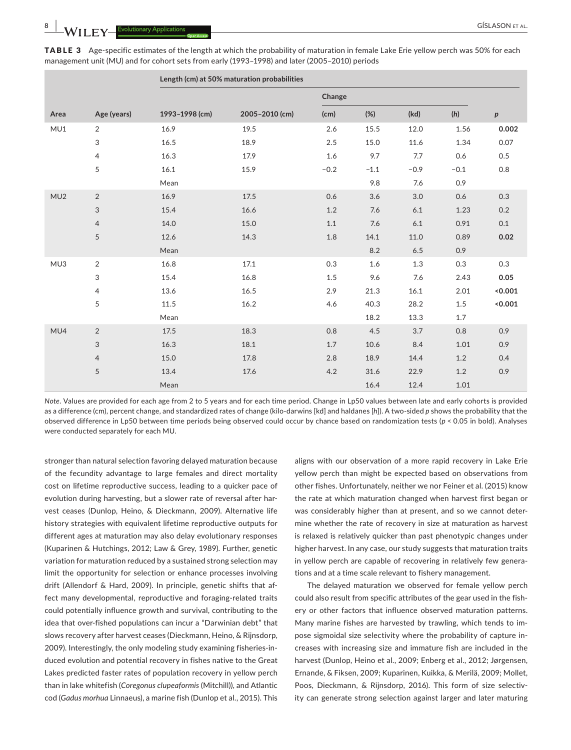|      |                           | Length (cm) at 50% maturation probabilities |                |        |         |         |         |                  |
|------|---------------------------|---------------------------------------------|----------------|--------|---------|---------|---------|------------------|
|      |                           |                                             |                | Change |         |         |         |                  |
| Area | Age (years)               | 1993-1998 (cm)                              | 2005-2010 (cm) | (cm)   | (%)     | (kd)    | (h)     | $\boldsymbol{p}$ |
| MU1  | 2                         | 16.9                                        | 19.5           | 2.6    | 15.5    | 12.0    | 1.56    | 0.002            |
|      | $\ensuremath{\mathsf{3}}$ | 16.5                                        | 18.9           | 2.5    | 15.0    | 11.6    | 1.34    | 0.07             |
|      | $\overline{4}$            | 16.3                                        | 17.9           | 1.6    | 9.7     | 7.7     | 0.6     | 0.5              |
|      | 5                         | 16.1                                        | 15.9           | $-0.2$ | $-1.1$  | $-0.9$  | $-0.1$  | $0.8\,$          |
|      |                           | Mean                                        |                |        | 9.8     | 7.6     | 0.9     |                  |
| MU2  | 2                         | 16.9                                        | 17.5           | 0.6    | 3.6     | 3.0     | 0.6     | 0.3              |
|      | $\mathfrak{S}$            | 15.4                                        | 16.6           | 1.2    | 7.6     | 6.1     | 1.23    | 0.2              |
|      | $\overline{4}$            | 14.0                                        | 15.0           | 1.1    | 7.6     | $6.1\,$ | 0.91    | 0.1              |
|      | 5                         | 12.6                                        | 14.3           | 1.8    | 14.1    | 11.0    | 0.89    | 0.02             |
|      |                           | Mean                                        |                |        | $8.2\,$ | 6.5     | 0.9     |                  |
| MU3  | 2                         | 16.8                                        | 17.1           | 0.3    | 1.6     | 1.3     | 0.3     | 0.3              |
|      | 3                         | 15.4                                        | 16.8           | 1.5    | 9.6     | 7.6     | 2.43    | 0.05             |
|      | $\overline{4}$            | 13.6                                        | 16.5           | 2.9    | 21.3    | 16.1    | 2.01    | 0.001            |
|      | 5                         | 11.5                                        | 16.2           | 4.6    | 40.3    | 28.2    | $1.5\,$ | 0.001            |
|      |                           | Mean                                        |                |        | 18.2    | 13.3    | 1.7     |                  |
| MU4  | $\overline{2}$            | 17.5                                        | 18.3           | 0.8    | 4.5     | 3.7     | 0.8     | 0.9              |
|      | 3                         | 16.3                                        | 18.1           | 1.7    | 10.6    | 8.4     | 1.01    | 0.9              |
|      | $\overline{4}$            | 15.0                                        | 17.8           | 2.8    | 18.9    | 14.4    | 1.2     | 0.4              |
|      | 5                         | 13.4                                        | 17.6           | 4.2    | 31.6    | 22.9    | 1.2     | 0.9              |
|      |                           | Mean                                        |                |        | 16.4    | 12.4    | 1.01    |                  |

TABLE 3 Age-specific estimates of the length at which the probability of maturation in female Lake Erie yellow perch was 50% for each management unit (MU) and for cohort sets from early (1993–1998) and later (2005–2010) periods

*Note*. Values are provided for each age from 2 to 5 years and for each time period. Change in Lp50 values between late and early cohorts is provided as a difference (cm), percent change, and standardized rates of change (kilo‐darwins [kd] and haldanes [*h*]). A two‐sided *p* shows the probability that the observed difference in Lp50 between time periods being observed could occur by chance based on randomization tests (*p* < 0.05 in bold). Analyses were conducted separately for each MU.

stronger than natural selection favoring delayed maturation because of the fecundity advantage to large females and direct mortality cost on lifetime reproductive success, leading to a quicker pace of evolution during harvesting, but a slower rate of reversal after harvest ceases (Dunlop, Heino, & Dieckmann, 2009). Alternative life history strategies with equivalent lifetime reproductive outputs for different ages at maturation may also delay evolutionary responses (Kuparinen & Hutchings, 2012; Law & Grey, 1989). Further, genetic variation for maturation reduced by a sustained strong selection may limit the opportunity for selection or enhance processes involving drift (Allendorf & Hard, 2009). In principle, genetic shifts that af‐ fect many developmental, reproductive and foraging‐related traits could potentially influence growth and survival, contributing to the idea that over-fished populations can incur a "Darwinian debt" that slows recovery after harvest ceases (Dieckmann, Heino, & Rijnsdorp, 2009). Interestingly, the only modeling study examining fisheries‐in‐ duced evolution and potential recovery in fishes native to the Great Lakes predicted faster rates of population recovery in yellow perch than in lake whitefish (*Coregonus clupeaformis* (Mitchill)), and Atlantic cod (*Gadus morhua* Linnaeus), a marine fish (Dunlop et al., 2015). This

aligns with our observation of a more rapid recovery in Lake Erie yellow perch than might be expected based on observations from other fishes. Unfortunately, neither we nor Feiner et al. (2015) know the rate at which maturation changed when harvest first began or was considerably higher than at present, and so we cannot deter‐ mine whether the rate of recovery in size at maturation as harvest is relaxed is relatively quicker than past phenotypic changes under higher harvest. In any case, our study suggests that maturation traits in yellow perch are capable of recovering in relatively few generations and at a time scale relevant to fishery management.

The delayed maturation we observed for female yellow perch could also result from specific attributes of the gear used in the fish‐ ery or other factors that influence observed maturation patterns. Many marine fishes are harvested by trawling, which tends to im‐ pose sigmoidal size selectivity where the probability of capture in‐ creases with increasing size and immature fish are included in the harvest (Dunlop, Heino et al., 2009; Enberg et al., 2012; Jørgensen, Ernande, & Fiksen, 2009; Kuparinen, Kuikka, & Merilä, 2009; Mollet, Poos, Dieckmann, & Rijnsdorp, 2016). This form of size selectiv‐ ity can generate strong selection against larger and later maturing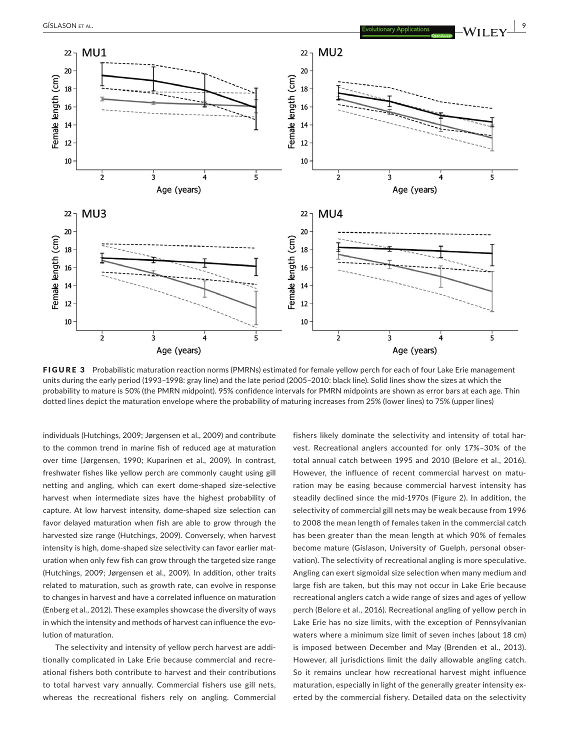

FIGURE 3 Probabilistic maturation reaction norms (PMRNs) estimated for female yellow perch for each of four Lake Erie management units during the early period (1993–1998: gray line) and the late period (2005–2010: black line). Solid lines show the sizes at which the probability to mature is 50% (the PMRN midpoint). 95% confidence intervals for PMRN midpoints are shown as error bars at each age. Thin dotted lines depict the maturation envelope where the probability of maturing increases from 25% (lower lines) to 75% (upper lines)

individuals (Hutchings, 2009; Jørgensen et al., 2009) and contribute to the common trend in marine fish of reduced age at maturation over time (Jørgensen, 1990; Kuparinen et al., 2009). In contrast, freshwater fishes like yellow perch are commonly caught using gill netting and angling, which can exert dome‐shaped size‐selective harvest when intermediate sizes have the highest probability of capture. At low harvest intensity, dome‐shaped size selection can favor delayed maturation when fish are able to grow through the harvested size range (Hutchings, 2009). Conversely, when harvest intensity is high, dome-shaped size selectivity can favor earlier maturation when only few fish can grow through the targeted size range (Hutchings, 2009; Jørgensen et al., 2009). In addition, other traits related to maturation, such as growth rate, can evolve in response to changes in harvest and have a correlated influence on maturation (Enberg et al., 2012). These examples showcase the diversity of ways in which the intensity and methods of harvest can influence the evolution of maturation.

The selectivity and intensity of yellow perch harvest are addi‐ tionally complicated in Lake Erie because commercial and recre‐ ational fishers both contribute to harvest and their contributions to total harvest vary annually. Commercial fishers use gill nets, whereas the recreational fishers rely on angling. Commercial fishers likely dominate the selectivity and intensity of total harvest. Recreational anglers accounted for only 17%–30% of the total annual catch between 1995 and 2010 (Belore et al., 2016). However, the influence of recent commercial harvest on maturation may be easing because commercial harvest intensity has steadily declined since the mid‐1970s (Figure 2). In addition, the selectivity of commercial gill nets may be weak because from 1996 to 2008 the mean length of females taken in the commercial catch has been greater than the mean length at which 90% of females become mature (Gíslason, University of Guelph, personal observation). The selectivity of recreational angling is more speculative. Angling can exert sigmoidal size selection when many medium and large fish are taken, but this may not occur in Lake Erie because recreational anglers catch a wide range of sizes and ages of yellow perch (Belore et al., 2016). Recreational angling of yellow perch in Lake Erie has no size limits, with the exception of Pennsylvanian waters where a minimum size limit of seven inches (about 18 cm) is imposed between December and May (Brenden et al., 2013). However, all jurisdictions limit the daily allowable angling catch. So it remains unclear how recreational harvest might influence maturation, especially in light of the generally greater intensity exerted by the commercial fishery. Detailed data on the selectivity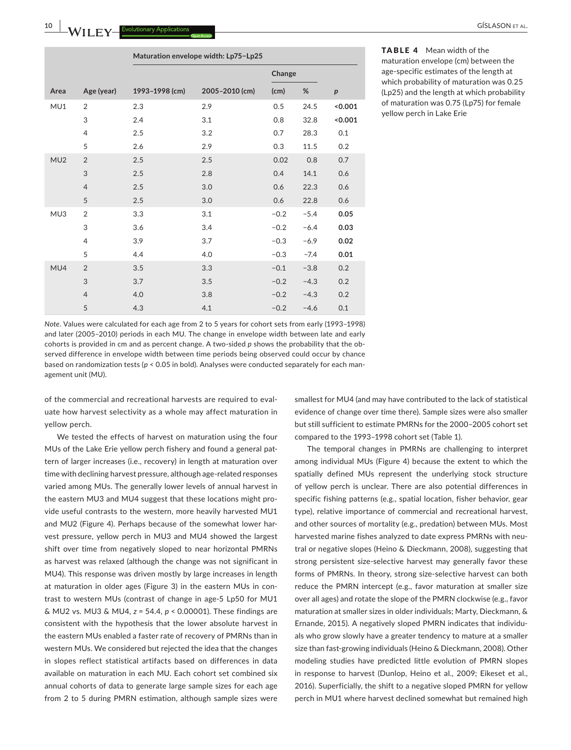agement unit (MU).

**10 |**  GÍSLASON et al.

|      |                | Maturation envelope width: Lp75-Lp25 |                |        |        |                  |  |
|------|----------------|--------------------------------------|----------------|--------|--------|------------------|--|
|      |                |                                      |                | Change |        |                  |  |
| Area | Age (year)     | 1993-1998 (cm)                       | 2005-2010 (cm) | (cm)   | %      | $\boldsymbol{p}$ |  |
| MU1  | $\overline{2}$ | 2.3                                  | 2.9            | 0.5    | 24.5   | 0.001            |  |
|      | 3              | 2.4                                  | 3.1            | 0.8    | 32.8   | < 0.001          |  |
|      | $\overline{4}$ | 2.5                                  | 3.2            | 0.7    | 28.3   | 0.1              |  |
|      | 5              | 2.6                                  | 2.9            | 0.3    | 11.5   | 0.2              |  |
| MU2  | $\overline{2}$ | 2.5                                  | 2.5            | 0.02   | 0.8    | 0.7              |  |
|      | 3              | 2.5                                  | 2.8            | 0.4    | 14.1   | 0.6              |  |
|      | $\overline{4}$ | 2.5                                  | 3.0            | 0.6    | 22.3   | 0.6              |  |
|      | 5              | 2.5                                  | 3.0            | 0.6    | 22.8   | 0.6              |  |
| MU3  | $\overline{2}$ | 3.3                                  | 3.1            | $-0.2$ | $-5.4$ | 0.05             |  |
|      | 3              | 3.6                                  | 3.4            | $-0.2$ | $-6.4$ | 0.03             |  |
|      | $\overline{4}$ | 3.9                                  | 3.7            | $-0.3$ | $-6.9$ | 0.02             |  |
|      | 5              | 4.4                                  | 4.0            | $-0.3$ | $-7.4$ | 0.01             |  |
| MU4  | $\overline{2}$ | 3.5                                  | 3.3            | $-0.1$ | $-3.8$ | 0.2              |  |
|      | 3              | 3.7                                  | 3.5            | $-0.2$ | $-4.3$ | 0.2              |  |
|      | $\overline{4}$ | 4.0                                  | 3.8            | $-0.2$ | $-4.3$ | 0.2              |  |
|      | 5              | 4.3                                  | 4.1            | $-0.2$ | $-4.6$ | 0.1              |  |
|      |                |                                      |                |        |        |                  |  |

*Note*. Values were calculated for each age from 2 to 5 years for cohort sets from early (1993–1998) and later (2005–2010) periods in each MU. The change in envelope width between late and early cohorts is provided in cm and as percent change. A two-sided p shows the probability that the observed difference in envelope width between time periods being observed could occur by chance based on randomization tests ( $p < 0.05$  in bold). Analyses were conducted separately for each man-

of the commercial and recreational harvests are required to eval‐ uate how harvest selectivity as a whole may affect maturation in yellow perch.

We tested the effects of harvest on maturation using the four MUs of the Lake Erie yellow perch fishery and found a general pattern of larger increases (i.e., recovery) in length at maturation over time with declining harvest pressure, although age-related responses varied among MUs. The generally lower levels of annual harvest in the eastern MU3 and MU4 suggest that these locations might pro‐ vide useful contrasts to the western, more heavily harvested MU1 and MU2 (Figure 4). Perhaps because of the somewhat lower harvest pressure, yellow perch in MU3 and MU4 showed the largest shift over time from negatively sloped to near horizontal PMRNs as harvest was relaxed (although the change was not significant in MU4). This response was driven mostly by large increases in length at maturation in older ages (Figure 3) in the eastern MUs in con‐ trast to western MUs (contrast of change in age‐5 Lp50 for MU1 & MU2 vs. MU3 & MU4, *z* = 54.4, *p* < 0.00001). These findings are consistent with the hypothesis that the lower absolute harvest in the eastern MUs enabled a faster rate of recovery of PMRNs than in western MUs. We considered but rejected the idea that the changes in slopes reflect statistical artifacts based on differences in data available on maturation in each MU. Each cohort set combined six annual cohorts of data to generate large sample sizes for each age from 2 to 5 during PMRN estimation, although sample sizes were

age‐specific estimates of the length at which probability of maturation was 0.25 (Lp25) and the length at which probability of maturation was 0.75 (Lp75) for female yellow perch in Lake Erie

smallest for MU4 (and may have contributed to the lack of statistical evidence of change over time there). Sample sizes were also smaller but still sufficient to estimate PMRNs for the 2000–2005 cohort set compared to the 1993–1998 cohort set (Table 1).

The temporal changes in PMRNs are challenging to interpret among individual MUs (Figure 4) because the extent to which the spatially defined MUs represent the underlying stock structure of yellow perch is unclear. There are also potential differences in specific fishing patterns (e.g., spatial location, fisher behavior, gear type), relative importance of commercial and recreational harvest, and other sources of mortality (e.g., predation) between MUs. Most harvested marine fishes analyzed to date express PMRNs with neutral or negative slopes (Heino & Dieckmann, 2008), suggesting that strong persistent size‐selective harvest may generally favor these forms of PMRNs. In theory, strong size‐selective harvest can both reduce the PMRN intercept (e.g., favor maturation at smaller size over all ages) and rotate the slope of the PMRN clockwise (e.g., favor maturation at smaller sizes in older individuals; Marty, Dieckmann, & Ernande, 2015). A negatively sloped PMRN indicates that individu‐ als who grow slowly have a greater tendency to mature at a smaller size than fast‐growing individuals (Heino & Dieckmann, 2008). Other modeling studies have predicted little evolution of PMRN slopes in response to harvest (Dunlop, Heino et al., 2009; Eikeset et al., 2016). Superficially, the shift to a negative sloped PMRN for yellow perch in MU1 where harvest declined somewhat but remained high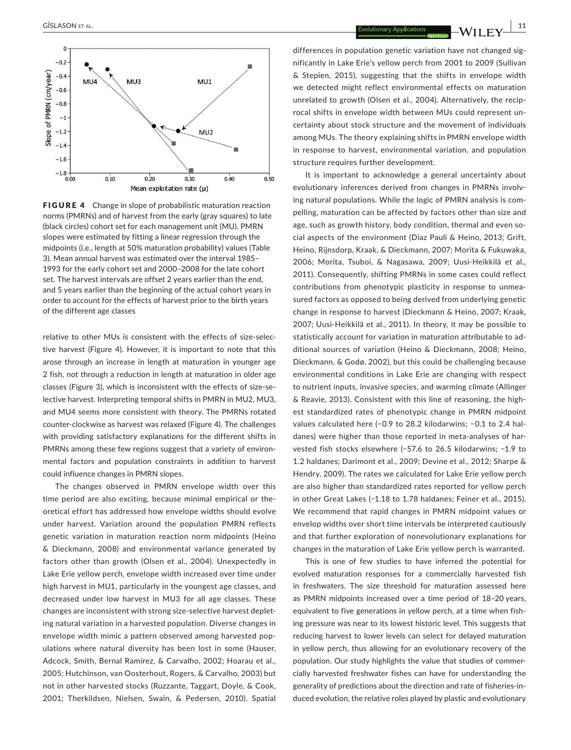

FIGURE 4 Change in slope of probabilistic maturation reaction norms (PMRNs) and of harvest from the early (gray squares) to late (black circles) cohort set for each management unit (MU). PMRN slopes were estimated by fitting a linear regression through the midpoints (i.e., length at 50% maturation probability) values (Table 3). Mean annual harvest was estimated over the interval 1985– 1993 for the early cohort set and 2000–2008 for the late cohort set. The harvest intervals are offset 2 years earlier than the end, and 5 years earlier than the beginning of the actual cohort years in order to account for the effects of harvest prior to the birth years of the different age classes

relative to other MUs is consistent with the effects of size-selective harvest (Figure 4). However, it is important to note that this arose through an increase in length at maturation in younger age 2 fish, not through a reduction in length at maturation in older age classes (Figure 3), which is inconsistent with the effects of size‐se‐ lective harvest. Interpreting temporal shifts in PMRN in MU2, MU3, and MU4 seems more consistent with theory. The PMRNs rotated counter‐clockwise as harvest was relaxed (Figure 4). The challenges with providing satisfactory explanations for the different shifts in PMRNs among these few regions suggest that a variety of environ‐ mental factors and population constraints in addition to harvest could influence changes in PMRN slopes.

The changes observed in PMRN envelope width over this time period are also exciting, because minimal empirical or the‐ oretical effort has addressed how envelope widths should evolve under harvest. Variation around the population PMRN reflects genetic variation in maturation reaction norm midpoints (Heino & Dieckmann, 2008) and environmental variance generated by factors other than growth (Olsen et al., 2004). Unexpectedly in Lake Erie yellow perch, envelope width increased over time under high harvest in MU1, particularly in the youngest age classes, and decreased under low harvest in MU3 for all age classes. These changes are inconsistent with strong size‐selective harvest deplet‐ ing natural variation in a harvested population. Diverse changes in envelope width mimic a pattern observed among harvested pop‐ ulations where natural diversity has been lost in some (Hauser, Adcock, Smith, Bernal Ramirez, & Carvalho, 2002; Hoarau et al., 2005; Hutchinson, van Oosterhout, Rogers, & Carvalho, 2003) but not in other harvested stocks (Ruzzante, Taggart, Doyle, & Cook, 2001; Therkildsen, Nielsen, Swain, & Pedersen, 2010). Spatial

differences in population genetic variation have not changed sig‐ nificantly in Lake Erie's yellow perch from 2001 to 2009 (Sullivan & Stepien, 2015), suggesting that the shifts in envelope width we detected might reflect environmental effects on maturation unrelated to growth (Olsen et al., 2004). Alternatively, the recip‐ rocal shifts in envelope width between MUs could represent un‐ certainty about stock structure and the movement of individuals among MUs. The theory explaining shifts in PMRN envelope width in response to harvest, environmental variation, and population structure requires further development.

It is important to acknowledge a general uncertainty about evolutionary inferences derived from changes in PMRNs involv‐ ing natural populations. While the logic of PMRN analysis is compelling, maturation can be affected by factors other than size and age, such as growth history, body condition, thermal and even social aspects of the environment (Diaz Pauli & Heino, 2013; Grift, Heino, Rijnsdorp, Kraak, & Dieckmann, 2007; Morita & Fukuwaka, 2006; Morita, Tsuboi, & Nagasawa, 2009; Uusi‐Heikkilä et al., 2011). Consequently, shifting PMRNs in some cases could reflect contributions from phenotypic plasticity in response to unmea‐ sured factors as opposed to being derived from underlying genetic change in response to harvest (Dieckmann & Heino, 2007; Kraak, 2007; Uusi‐Heikkilä et al., 2011). In theory, it may be possible to statistically account for variation in maturation attributable to ad‐ ditional sources of variation (Heino & Dieckmann, 2008; Heino, Dieckmann, & Godø, 2002), but this could be challenging because environmental conditions in Lake Erie are changing with respect to nutrient inputs, invasive species, and warming climate (Allinger & Reavie, 2013). Consistent with this line of reasoning, the high‐ est standardized rates of phenotypic change in PMRN midpoint values calculated here (−0.9 to 28.2 kilodarwins; −0.1 to 2.4 hal‐ danes) were higher than those reported in meta-analyses of harvested fish stocks elsewhere (−57.6 to 26.5 kilodarwins; −1.9 to 1.2 haldanes; Darimont et al., 2009; Devine et al., 2012; Sharpe & Hendry, 2009). The rates we calculated for Lake Erie yellow perch are also higher than standardized rates reported for yellow perch in other Great Lakes (−1.18 to 1.78 haldanes; Feiner et al., 2015). We recommend that rapid changes in PMRN midpoint values or envelop widths over short time intervals be interpreted cautiously and that further exploration of nonevolutionary explanations for changes in the maturation of Lake Erie yellow perch is warranted.

This is one of few studies to have inferred the potential for evolved maturation responses for a commercially harvested fish in freshwaters. The size threshold for maturation assessed here as PMRN midpoints increased over a time period of 18–20 years, equivalent to five generations in yellow perch, at a time when fish‐ ing pressure was near to its lowest historic level. This suggests that reducing harvest to lower levels can select for delayed maturation in yellow perch, thus allowing for an evolutionary recovery of the population. Our study highlights the value that studies of commer‐ cially harvested freshwater fishes can have for understanding the generality of predictions about the direction and rate of fisheries‐in‐ duced evolution, the relative roles played by plastic and evolutionary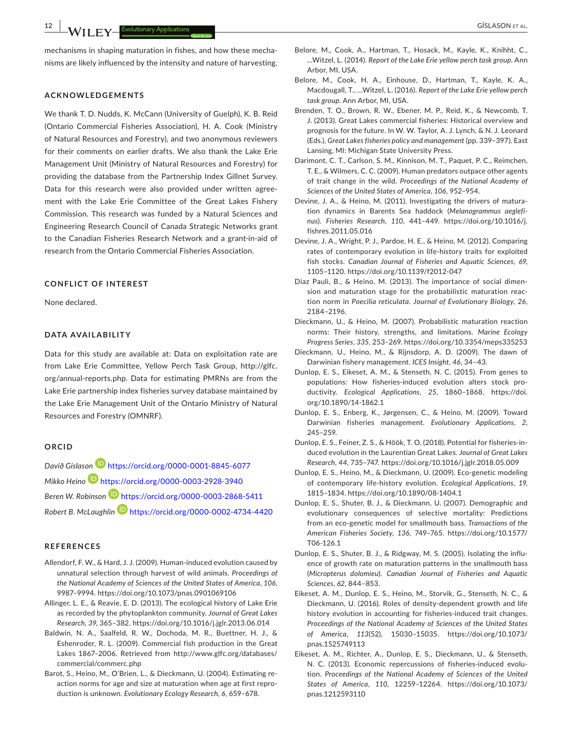**12 b b ib il il il il il il il il il il il il il il il il il il il il il il il il il il il il il** 

mechanisms in shaping maturation in fishes, and how these mechanisms are likely influenced by the intensity and nature of harvesting.

## **ACKNOWLEDGEMENTS**

We thank T. D. Nudds, K. McCann (University of Guelph), K. B. Reid (Ontario Commercial Fisheries Association), H. A. Cook (Ministry of Natural Resources and Forestry), and two anonymous reviewers for their comments on earlier drafts. We also thank the Lake Erie Management Unit (Ministry of Natural Resources and Forestry) for providing the database from the Partnership Index Gillnet Survey. Data for this research were also provided under written agree‐ ment with the Lake Erie Committee of the Great Lakes Fishery Commission. This research was funded by a Natural Sciences and Engineering Research Council of Canada Strategic Networks grant to the Canadian Fisheries Research Network and a grant‐in‐aid of research from the Ontario Commercial Fisheries Association.

# **CONFLICT OF INTEREST**

None declared.

#### **DATA AVAILABILITY**

Data for this study are available at: Data on exploitation rate are from Lake Erie Committee, Yellow Perch Task Group, http://glfc. org/annual‐reports.php. Data for estimating PMRNs are from the Lake Erie partnership index fisheries survey database maintained by the Lake Erie Management Unit of the Ontario Ministry of Natural Resources and Forestry (OMNRF).

## **ORCID**

*Davíð Gíslaso[n](https://orcid.org/0000-0001-8845-6077)* <https://orcid.org/0000-0001-8845-6077> *Mikko Hein[o](https://orcid.org/0000-0003-2928-3940)* <https://orcid.org/0000-0003-2928-3940> *Beren W. Robinson* <https://orcid.org/0000-0003-2868-5411> *Robert B. McLaughlin* <https://orcid.org/0000-0002-4734-4420>

#### **REFERENCES**

- Allendorf, F. W., & Hard, J. J. (2009). Human‐induced evolution caused by unnatural selection through harvest of wild animals. *Proceedings of the National Academy of Sciences of the United States of America*, *106*, 9987–9994. <https://doi.org/10.1073/pnas.0901069106>
- Allinger, L. E., & Reavie, E. D. (2013). The ecological history of Lake Erie as recorded by the phytoplankton community. *Journal of Great Lakes Research*, *39*, 365–382. <https://doi.org/10.1016/j.jglr.2013.06.014>
- Baldwin, N. A., Saalfeld, R. W., Dochoda, M. R., Buettner, H. J., & Eshenroder, R. L. (2009). Commercial fish production in the Great Lakes 1867–2006. Retrieved from [http://www.glfc.org/databases/](http://www.glfc.org/databases/commercial/commerc.php) [commercial/commerc.php](http://www.glfc.org/databases/commercial/commerc.php)
- Barot, S., Heino, M., O'Brien, L., & Dieckmann, U. (2004). Estimating re‐ action norms for age and size at maturation when age at first repro‐ duction is unknown. *Evolutionary Ecology Research*, *6*, 659–678.
- Belore, M., Cook, A., Hartman, T., Hosack, M., Kayle, K., Knihht, C., …Witzel, L. (2014). *Report of the Lake Erie yellow perch task group*. Ann Arbor, MI, USA.
- Belore, M., Cook, H. A., Einhouse, D., Hartman, T., Kayle, K. A., Macdougall, T., …Witzel, L. (2016). *Report of the Lake Erie yellow perch task group*. Ann Arbor, MI, USA.
- Brenden, T. O., Brown, R. W., Ebener, M. P., Reid, K., & Newcomb, T. J. (2013). Great Lakes commercial fisheries: Historical overview and prognosis for the future. In W. W. Taylor, A. J. Lynch, & N. J. Leonard (Eds.), *Great Lakes fisheries policy and management* (pp. 339–397). East Lansing, MI: Michigan State University Press.
- Darimont, C. T., Carlson, S. M., Kinnison, M. T., Paquet, P. C., Reimchen, T. E., & Wilmers, C. C. (2009). Human predators outpace other agents of trait change in the wild. *Proceedings of the National Academy of Sciences of the United States of America*, *106*, 952–954.
- Devine, J. A., & Heino, M. (2011). Investigating the drivers of matura‐ tion dynamics in Barents Sea haddock (*Melanogrammus aeglefinus*). *Fisheries Research*, *110*, 441–449. [https://doi.org/10.1016/j.](https://doi.org/10.1016/j.fishres.2011.05.016) [fishres.2011.05.016](https://doi.org/10.1016/j.fishres.2011.05.016)
- Devine, J. A., Wright, P. J., Pardoe, H. E., & Heino, M. (2012). Comparing rates of contemporary evolution in life‐history traits for exploited fish stocks. *Canadian Journal of Fisheries and Aquatic Sciences*, *69*, 1105–1120. <https://doi.org/10.1139/f2012-047>
- Diaz Pauli, B., & Heino, M. (2013). The importance of social dimen‐ sion and maturation stage for the probabilistic maturation reac‐ tion norm in *Poecilia reticulata*. *Journal of Evolutionary Biology*, *26*, 2184–2196.
- Dieckmann, U., & Heino, M. (2007). Probabilistic maturation reaction norms: Their history, strengths, and limitations. *Marine Ecology Progress Series*, *335*, 253–269. <https://doi.org/10.3354/meps335253>
- Dieckmann, U., Heino, M., & Rijnsdorp, A. D. (2009). The dawn of Darwinian fishery management. *ICES Insight*, *46*, 34–43.
- Dunlop, E. S., Eikeset, A. M., & Stenseth, N. C. (2015). From genes to populations: How fisheries-induced evolution alters stock productivity. *Ecological Applications*, *25*, 1860–1868. [https://doi.](https://doi.org/10.1890/14-1862.1) [org/10.1890/14-1862.1](https://doi.org/10.1890/14-1862.1)
- Dunlop, E. S., Enberg, K., Jørgensen, C., & Heino, M. (2009). Toward Darwinian fisheries management. *Evolutionary Applications*, *2*, 245–259.
- Dunlop, E. S., Feiner, Z. S., & Höök, T. O. (2018). Potential for fisheries‐in‐ duced evolution in the Laurentian Great Lakes. *Journal of Great Lakes Research*, *44*, 735–747. <https://doi.org/10.1016/j.jglr.2018.05.009>
- Dunlop, E. S., Heino, M., & Dieckmann, U. (2009). Eco‐genetic modeling of contemporary life‐history evolution. *Ecological Applications*, *19*, 1815–1834. <https://doi.org/10.1890/08-1404.1>
- Dunlop, E. S., Shuter, B. J., & Dieckmann, U. (2007). Demographic and evolutionary consequences of selective mortality: Predictions from an eco‐genetic model for smallmouth bass. *Transactions of the American Fisheries Society*, *136*, 749–765. [https://doi.org/10.1577/](https://doi.org/10.1577/T06-126.1) [T06-126.1](https://doi.org/10.1577/T06-126.1)
- Dunlop, E. S., Shuter, B. J., & Ridgway, M. S. (2005). Isolating the influ‐ ence of growth rate on maturation patterns in the smallmouth bass (*Micropterus dolomieu*). *Canadian Journal of Fisheries and Aquatic Sciences*, *62*, 844–853.
- Eikeset, A. M., Dunlop, E. S., Heino, M., Storvik, G., Stenseth, N. C., & Dieckmann, U. (2016). Roles of density‐dependent growth and life history evolution in accounting for fisheries-induced trait changes. *Proceedings of the National Academy of Sciences of the United States of America*, *113*(52), 15030–15035. [https://doi.org/10.1073/](https://doi.org/10.1073/pnas.1525749113) [pnas.1525749113](https://doi.org/10.1073/pnas.1525749113)
- Eikeset, A. M., Richter, A., Dunlop, E. S., Dieckmann, U., & Stenseth, N. C. (2013). Economic repercussions of fisheries-induced evolution. *Proceedings of the National Academy of Sciences of the United States of America*, *110*, 12259–12264. [https://doi.org/10.1073/](https://doi.org/10.1073/pnas.1212593110) [pnas.1212593110](https://doi.org/10.1073/pnas.1212593110)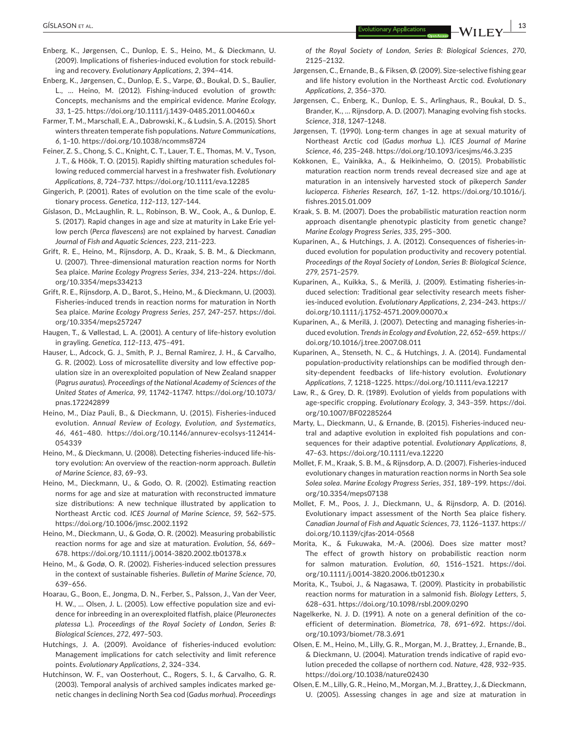- Enberg, K., Jørgensen, C., Dunlop, E. S., Heino, M., & Dieckmann, U. (2009). Implications of fisheries‐induced evolution for stock rebuild‐ ing and recovery. *Evolutionary Applications*, *2*, 394–414.
- Enberg, K., Jørgensen, C., Dunlop, E. S., Varpe, Ø., Boukal, D. S., Baulier, L., … Heino, M. (2012). Fishing‐induced evolution of growth: Concepts, mechanisms and the empirical evidence. *Marine Ecology*, *33*, 1–25. <https://doi.org/10.1111/j.1439-0485.2011.00460.x>
- Farmer, T. M., Marschall, E. A., Dabrowski, K., & Ludsin, S. A. (2015). Short winters threaten temperate fish populations. *Nature Communications*, *6*, 1–10. <https://doi.org/10.1038/ncomms8724>
- Feiner, Z. S., Chong, S. C., Knight, C. T., Lauer, T. E., Thomas, M. V., Tyson, J. T., & Höök, T. O. (2015). Rapidly shifting maturation schedules fol‐ lowing reduced commercial harvest in a freshwater fish. *Evolutionary Applications*, *8*, 724–737. <https://doi.org/10.1111/eva.12285>
- Gingerich, P. (2001). Rates of evolution on the time scale of the evolu‐ tionary process. *Genetica*, *112–113*, 127–144.
- Gíslason, D., McLaughlin, R. L., Robinson, B. W., Cook, A., & Dunlop, E. S. (2017). Rapid changes in age and size at maturity in Lake Erie yel‐ low perch (*Perca flavescens*) are not explained by harvest. *Canadian Journal of Fish and Aquatic Sciences*, *223*, 211–223.
- Grift, R. E., Heino, M., Rijnsdorp, A. D., Kraak, S. B. M., & Dieckmann, U. (2007). Three‐dimensional maturation reaction norms for North Sea plaice. *Marine Ecology Progress Series*, *334*, 213–224. [https://doi.](https://doi.org/10.3354/meps334213) [org/10.3354/meps334213](https://doi.org/10.3354/meps334213)
- Grift, R. E., Rijnsdorp, A. D., Barot, S., Heino, M., & Dieckmann, U. (2003). Fisheries‐induced trends in reaction norms for maturation in North Sea plaice. *Marine Ecology Progress Series*, *257*, 247–257. [https://doi.](https://doi.org/10.3354/meps257247) [org/10.3354/meps257247](https://doi.org/10.3354/meps257247)
- Haugen, T., & Vøllestad, L. A. (2001). A century of life‐history evolution in grayling. *Genetica*, *112–113*, 475–491.
- Hauser, L., Adcock, G. J., Smith, P. J., Bernal Ramirez, J. H., & Carvalho, G. R. (2002). Loss of microsatellite diversity and low effective pop‐ ulation size in an overexploited population of New Zealand snapper (*Pagrus auratus*). *Proceedings of the National Academy of Sciences of the United States of America*, *99*, 11742–11747. [https://doi.org/10.1073/](https://doi.org/10.1073/pnas.172242899) [pnas.172242899](https://doi.org/10.1073/pnas.172242899)
- Heino, M., Díaz Pauli, B., & Dieckmann, U. (2015). Fisheries‐induced evolution. *Annual Review of Ecology, Evolution, and Systematics*, *46*, 461–480. [https://doi.org/10.1146/annurev-ecolsys-112414-](https://doi.org/10.1146/annurev-ecolsys-112414-054339)[054339](https://doi.org/10.1146/annurev-ecolsys-112414-054339)
- Heino, M., & Dieckmann, U. (2008). Detecting fisheries-induced life-history evolution: An overview of the reaction‐norm approach. *Bulletin of Marine Science*, *83*, 69–93.
- Heino, M., Dieckmann, U., & Godo, O. R. (2002). Estimating reaction norms for age and size at maturation with reconstructed immature size distributions: A new technique illustrated by application to Northeast Arctic cod. *ICES Journal of Marine Science*, *59*, 562–575. <https://doi.org/10.1006/jmsc.2002.1192>
- Heino, M., Dieckmann, U., & Godø, O. R. (2002). Measuring probabilistic reaction norms for age and size at maturation. *Evolution*, *56*, 669– 678. <https://doi.org/10.1111/j.0014-3820.2002.tb01378.x>
- Heino, M., & Godø, O. R. (2002). Fisheries‐induced selection pressures in the context of sustainable fisheries. *Bulletin of Marine Science*, *70*, 639–656.
- Hoarau, G., Boon, E., Jongma, D. N., Ferber, S., Palsson, J., Van der Veer, H. W., ... Olsen, J. L. (2005). Low effective population size and evidence for inbreeding in an overexploited flatfish, plaice (*Pleuronectes platessa* L.). *Proceedings of the Royal Society of London, Series B: Biological Sciences*, *272*, 497–503.
- Hutchings, J. A. (2009). Avoidance of fisheries-induced evolution: Management implications for catch selectivity and limit reference points. *Evolutionary Applications*, *2*, 324–334.
- Hutchinson, W. F., van Oosterhout, C., Rogers, S. I., & Carvalho, G. R. (2003). Temporal analysis of archived samples indicates marked ge‐ netic changes in declining North Sea cod (*Gadus morhua*). *Proceedings*

*of the Royal Society of London, Series B: Biological Sciences*, *270*, 2125–2132.

- Jørgensen, C., Ernande, B., & Fiksen, Ø. (2009). Size‐selective fishing gear and life history evolution in the Northeast Arctic cod. *Evolutionary Applications*, *2*, 356–370.
- Jørgensen, C., Enberg, K., Dunlop, E. S., Arlinghaus, R., Boukal, D. S., Brander, K., … Rijnsdorp, A. D. (2007). Managing evolving fish stocks. *Science*, *318*, 1247–1248.
- Jørgensen, T. (1990). Long-term changes in age at sexual maturity of Northeast Arctic cod (*Gadus morhua* L.). *ICES Journal of Marine Science*, *46*, 235–248. <https://doi.org/10.1093/icesjms/46.3.235>
- Kokkonen, E., Vainikka, A., & Heikinheimo, O. (2015). Probabilistic maturation reaction norm trends reveal decreased size and age at maturation in an intensively harvested stock of pikeperch *Sander lucioperca*. *Fisheries Research*, *167*, 1–12. [https://doi.org/10.1016/j.](https://doi.org/10.1016/j.fishres.2015.01.009) [fishres.2015.01.009](https://doi.org/10.1016/j.fishres.2015.01.009)
- Kraak, S. B. M. (2007). Does the probabilistic maturation reaction norm approach disentangle phenotypic plasticity from genetic change? *Marine Ecology Progress Series*, *335*, 295–300.
- Kuparinen, A., & Hutchings, J. A. (2012). Consequences of fisheries‐in‐ duced evolution for population productivity and recovery potential. *Proceedings of the Royal Society of London, Series B: Biological Science*, *279*, 2571–2579.
- Kuparinen, A., Kuikka, S., & Merilä, J. (2009). Estimating fisheries‐in‐ duced selection: Traditional gear selectivity research meets fisher‐ ies‐induced evolution. *Evolutionary Applications*, *2*, 234–243. [https://](https://doi.org/10.1111/j.1752-4571.2009.00070.x) [doi.org/10.1111/j.1752-4571.2009.00070.x](https://doi.org/10.1111/j.1752-4571.2009.00070.x)
- Kuparinen, A., & Merilä, J. (2007). Detecting and managing fisheries‐in‐ duced evolution. *Trends in Ecology and Evolution*, *22*, 652–659. [https://](https://doi.org/10.1016/j.tree.2007.08.011) [doi.org/10.1016/j.tree.2007.08.011](https://doi.org/10.1016/j.tree.2007.08.011)
- Kuparinen, A., Stenseth, N. C., & Hutchings, J. A. (2014). Fundamental population‐productivity relationships can be modified through den‐ sity‐dependent feedbacks of life‐history evolution. *Evolutionary Applications*, *7*, 1218–1225. <https://doi.org/10.1111/eva.12217>
- Law, R., & Grey, D. R. (1989). Evolution of yields from populations with age‐specific cropping. *Evolutionary Ecology*, *3*, 343–359. [https://doi.](https://doi.org/10.1007/BF02285264) [org/10.1007/BF02285264](https://doi.org/10.1007/BF02285264)
- Marty, L., Dieckmann, U., & Ernande, B. (2015). Fisheries‐induced neu‐ tral and adaptive evolution in exploited fish populations and con‐ sequences for their adaptive potential. *Evolutionary Applications*, *8*, 47–63. <https://doi.org/10.1111/eva.12220>
- Mollet, F. M., Kraak, S. B. M., & Rijnsdorp, A. D. (2007). Fisheries‐induced evolutionary changes in maturation reaction norms in North Sea sole *Solea solea*. *Marine Ecology Progress Series*, *351*, 189–199. [https://doi.](https://doi.org/10.3354/meps07138) [org/10.3354/meps07138](https://doi.org/10.3354/meps07138)
- Mollet, F. M., Poos, J. J., Dieckmann, U., & Rijnsdorp, A. D. (2016). Evolutionary impact assessment of the North Sea plaice fishery. *Canadian Journal of Fish and Aquatic Sciences*, *73*, 1126–1137. [https://](https://doi.org/10.1139/cjfas-2014-0568) [doi.org/10.1139/cjfas-2014-0568](https://doi.org/10.1139/cjfas-2014-0568)
- Morita, K., & Fukuwaka, M.‐A. (2006). Does size matter most? The effect of growth history on probabilistic reaction norm for salmon maturation. *Evolution*, *60*, 1516–1521. [https://doi.](https://doi.org/10.1111/j.0014-3820.2006.tb01230.x) [org/10.1111/j.0014-3820.2006.tb01230.x](https://doi.org/10.1111/j.0014-3820.2006.tb01230.x)
- Morita, K., Tsuboi, J., & Nagasawa, T. (2009). Plasticity in probabilistic reaction norms for maturation in a salmonid fish. *Biology Letters*, *5*, 628–631. <https://doi.org/10.1098/rsbl.2009.0290>
- Nagelkerke, N. J. D. (1991). A note on a general definition of the co‐ efficient of determination. *Biometrica*, *78*, 691–692. [https://doi.](https://doi.org/10.1093/biomet/78.3.691) [org/10.1093/biomet/78.3.691](https://doi.org/10.1093/biomet/78.3.691)
- Olsen, E. M., Heino, M., Lilly, G. R., Morgan, M. J., Brattey, J., Ernande, B., & Dieckmann, U. (2004). Maturation trends indicative of rapid evo‐ lution preceded the collapse of northern cod. *Nature*, *428*, 932–935. <https://doi.org/10.1038/nature02430>
- Olsen, E. M., Lilly, G. R., Heino, M., Morgan, M. J., Brattey, J., & Dieckmann, U. (2005). Assessing changes in age and size at maturation in